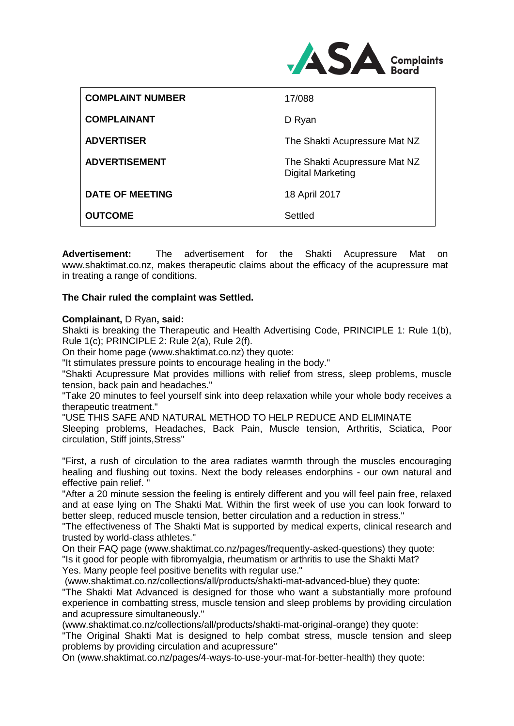

| <b>OUTCOME</b>          | Settled                                                   |
|-------------------------|-----------------------------------------------------------|
| DATE OF MEETING         | 18 April 2017                                             |
| <b>ADVERTISEMENT</b>    | The Shakti Acupressure Mat NZ<br><b>Digital Marketing</b> |
| <b>ADVERTISER</b>       | The Shakti Acupressure Mat NZ                             |
| <b>COMPLAINANT</b>      | D Ryan                                                    |
| <b>COMPLAINT NUMBER</b> | 17/088                                                    |

**Advertisement:** The advertisement for the Shakti Acupressure Mat on www.shaktimat.co.nz, makes therapeutic claims about the efficacy of the acupressure mat in treating a range of conditions.

## **The Chair ruled the complaint was Settled.**

## **Complainant,** D Ryan**, said:**

Shakti is breaking the Therapeutic and Health Advertising Code, PRINCIPLE 1: Rule 1(b), Rule 1(c); PRINCIPLE 2: Rule 2(a), Rule 2(f).

On their home page (www.shaktimat.co.nz) they quote:

"It stimulates pressure points to encourage healing in the body."

"Shakti Acupressure Mat provides millions with relief from stress, sleep problems, muscle tension, back pain and headaches."

"Take 20 minutes to feel yourself sink into deep relaxation while your whole body receives a therapeutic treatment."

"USE THIS SAFE AND NATURAL METHOD TO HELP REDUCE AND ELIMINATE

Sleeping problems, Headaches, Back Pain, Muscle tension, Arthritis, Sciatica, Poor circulation, Stiff joints,Stress"

"First, a rush of circulation to the area radiates warmth through the muscles encouraging healing and flushing out toxins. Next the body releases endorphins - our own natural and effective pain relief. "

"After a 20 minute session the feeling is entirely different and you will feel pain free, relaxed and at ease lying on The Shakti Mat. Within the first week of use you can look forward to better sleep, reduced muscle tension, better circulation and a reduction in stress."

"The effectiveness of The Shakti Mat is supported by medical experts, clinical research and trusted by world-class athletes."

On their FAQ page (www.shaktimat.co.nz/pages/frequently-asked-questions) they quote:

"Is it good for people with fibromyalgia, rheumatism or arthritis to use the Shakti Mat?

Yes. Many people feel positive benefits with regular use."

(www.shaktimat.co.nz/collections/all/products/shakti-mat-advanced-blue) they quote:

"The Shakti Mat Advanced is designed for those who want a substantially more profound experience in combatting stress, muscle tension and sleep problems by providing circulation and acupressure simultaneously."

(www.shaktimat.co.nz/collections/all/products/shakti-mat-original-orange) they quote:

"The Original Shakti Mat is designed to help combat stress, muscle tension and sleep problems by providing circulation and acupressure"

On (www.shaktimat.co.nz/pages/4-ways-to-use-your-mat-for-better-health) they quote: